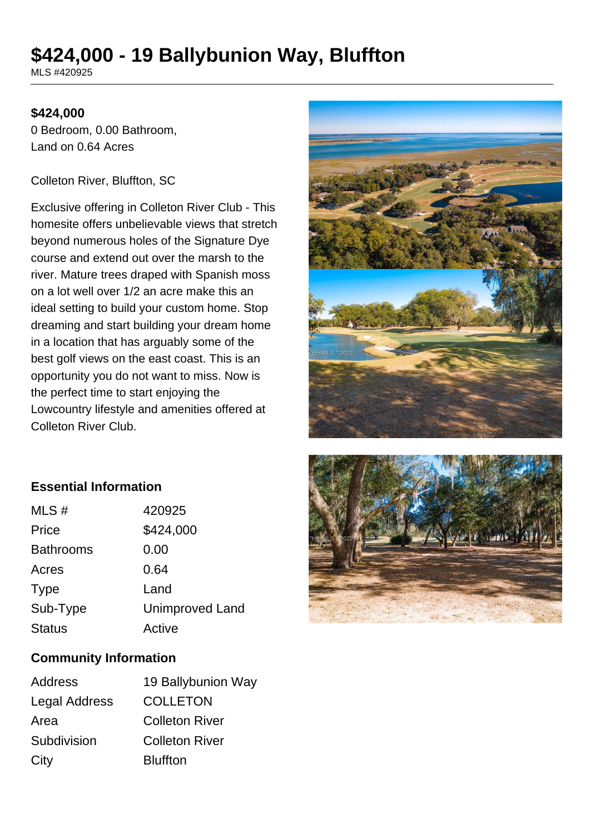# **\$424,000 - 19 Ballybunion Way, Bluffton**

MLS #420925

#### **\$424,000**

0 Bedroom, 0.00 Bathroom, Land on 0.64 Acres

#### Colleton River, Bluffton, SC

Exclusive offering in Colleton River Club - This homesite offers unbelievable views that stretch beyond numerous holes of the Signature Dye course and extend out over the marsh to the river. Mature trees draped with Spanish moss on a lot well over 1/2 an acre make this an ideal setting to build your custom home. Stop dreaming and start building your dream home in a location that has arguably some of the best golf views on the east coast. This is an opportunity you do not want to miss. Now is the perfect time to start enjoying the Lowcountry lifestyle and amenities offered at Colleton River Club.



### **Essential Information**

| MLS#             | 420925                 |
|------------------|------------------------|
| Price            | \$424,000              |
| <b>Bathrooms</b> | 0.00                   |
| Acres            | 0.64                   |
| <b>Type</b>      | Land                   |
| Sub-Type         | <b>Unimproved Land</b> |
| <b>Status</b>    | Active                 |
|                  |                        |

# **Community Information**

| 19 Ballybunion Way    |
|-----------------------|
| <b>COLLETON</b>       |
| <b>Colleton River</b> |
| <b>Colleton River</b> |
| <b>Bluffton</b>       |
|                       |